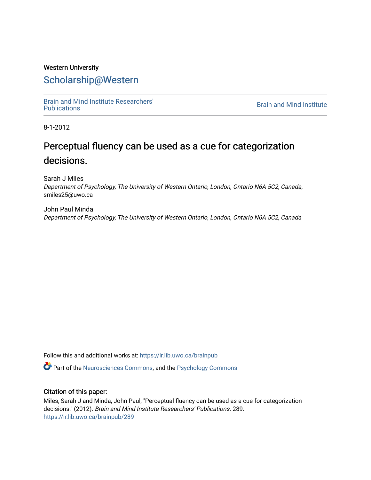## Western University [Scholarship@Western](https://ir.lib.uwo.ca/)

[Brain and Mind Institute Researchers'](https://ir.lib.uwo.ca/brainpub) 

**Brain and Mind Institute** 

8-1-2012

# Perceptual fluency can be used as a cue for categorization decisions.

Sarah J Miles Department of Psychology, The University of Western Ontario, London, Ontario N6A 5C2, Canada, smiles25@uwo.ca

John Paul Minda Department of Psychology, The University of Western Ontario, London, Ontario N6A 5C2, Canada

Follow this and additional works at: [https://ir.lib.uwo.ca/brainpub](https://ir.lib.uwo.ca/brainpub?utm_source=ir.lib.uwo.ca%2Fbrainpub%2F289&utm_medium=PDF&utm_campaign=PDFCoverPages)

Part of the [Neurosciences Commons](http://network.bepress.com/hgg/discipline/1010?utm_source=ir.lib.uwo.ca%2Fbrainpub%2F289&utm_medium=PDF&utm_campaign=PDFCoverPages), and the [Psychology Commons](http://network.bepress.com/hgg/discipline/404?utm_source=ir.lib.uwo.ca%2Fbrainpub%2F289&utm_medium=PDF&utm_campaign=PDFCoverPages) 

### Citation of this paper:

Miles, Sarah J and Minda, John Paul, "Perceptual fluency can be used as a cue for categorization decisions." (2012). Brain and Mind Institute Researchers' Publications. 289. [https://ir.lib.uwo.ca/brainpub/289](https://ir.lib.uwo.ca/brainpub/289?utm_source=ir.lib.uwo.ca%2Fbrainpub%2F289&utm_medium=PDF&utm_campaign=PDFCoverPages)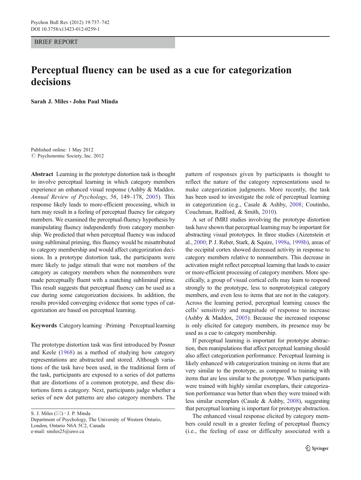BRIEF REPORT

## Perceptual fluency can be used as a cue for categorization decisions

Sarah J. Miles & John Paul Minda

Published online: 1 May 2012  $\oslash$  Psychonomic Society, Inc. 2012

Abstract Learning in the prototype distortion task is thought to involve perceptual learning in which category members experience an enhanced visual response (Ashby & Maddox. Annual Review of Psychology, 56, 149–178, [2005](#page-6-0)). This response likely leads to more-efficient processing, which in turn may result in a feeling of perceptual fluency for category members. We examined the perceptual-fluency hypothesis by manipulating fluency independently from category membership. We predicted that when perceptual fluency was induced using subliminal priming, this fluency would be misattributed to category membership and would affect categorization decisions. In a prototype distortion task, the participants were more likely to judge stimuli that were not members of the category as category members when the nonmembers were made perceptually fluent with a matching subliminal prime. This result suggests that perceptual fluency can be used as a cue during some categorization decisions. In addition, the results provided converging evidence that some types of categorization are based on perceptual learning.

Keywords Categorylearning .Priming .Perceptuallearning

The prototype distortion task was first introduced by Posner and Keele [\(1968](#page-6-0)) as a method of studying how category representations are abstracted and stored. Although variations of the task have been used, in the traditional form of the task, participants are exposed to a series of dot patterns that are distortions of a common prototype, and these distortions form a category. Next, participants judge whether a series of new dot patterns are also category members. The

S. J. Miles  $(\boxtimes) \cdot$  J. P. Minda

Department of Psychology, The University of Western Ontario, London, Ontario N6A 5C2, Canada e-mail: smiles25@uwo.ca

pattern of responses given by participants is thought to reflect the nature of the category representations used to make categorization judgments. More recently, the task has been used to investigate the role of perceptual learning in categorization (e.g., Casale & Ashby, [2008;](#page-6-0) Coutinho, Couchman, Redford, & Smith, [2010](#page-6-0)).

A set of fMRI studies involving the prototype distortion task have shown that perceptual learning may be important for abstracting visual prototypes. In three studies (Aizenstein et al., [2000;](#page-6-0) P. J. Reber, Stark, & Squire, [1998a](#page-6-0), [1998b\)](#page-6-0), areas of the occipital cortex showed decreased activity in response to category members relative to nonmembers. This decrease in activation might reflect perceptual learning that leads to easier or more-efficient processing of category members. More specifically, a group of visual cortical cells may learn to respond strongly to the prototype, less to nonprototypical category members, and even less to items that are not in the category. Across the learning period, perceptual learning causes the cells' sensitivity and magnitude of response to increase (Ashby & Maddox, [2005\)](#page-6-0). Because the increased response is only elicited for category members, its presence may be used as a cue to category membership.

If perceptual learning is important for prototype abstraction, then manipulations that affect perceptual learning should also affect categorization performance. Perceptual learning is likely enhanced with categorization training on items that are very similar to the prototype, as compared to training with items that are less similar to the prototype. When participants were trained with highly similar exemplars, their categorization performance was better than when they were trained with less similar exemplars (Casale & Ashby, [2008](#page-6-0)), suggesting that perceptual learning is important for prototype abstraction.

The enhanced visual response elicited by category members could result in a greater feeling of perceptual fluency (i.e., the feeling of ease or difficulty associated with a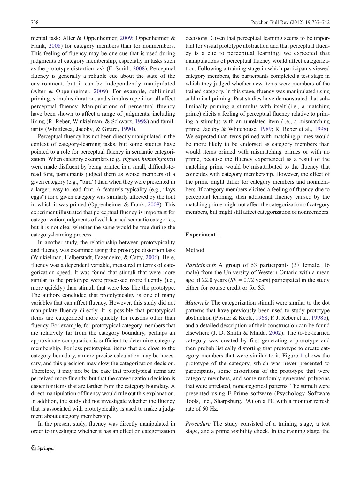<span id="page-2-0"></span>mental task; Alter & Oppenheimer, [2009;](#page-6-0) Oppenheimer & Frank, [2008](#page-6-0)) for category members than for nonmembers. This feeling of fluency may be one cue that is used during judgments of category membership, especially in tasks such as the prototype distortion task (E. Smith, [2008](#page-6-0)). Perceptual fluency is generally a reliable cue about the state of the environment, but it can be independently manipulated (Alter & Oppenheimer, [2009](#page-6-0)). For example, subliminal priming, stimulus duration, and stimulus repetition all affect perceptual fluency. Manipulations of perceptual fluency have been shown to affect a range of judgments, including liking (R. Reber, Winkielman, & Schwarz, [1998\)](#page-6-0) and familiarity (Whittlesea, Jacoby, & Girard, [1990\)](#page-6-0).

Perceptual fluency has not been directly manipulated in the context of category-learning tasks, but some studies have pointed to a role for perceptual fluency in semantic categorization. When category exemplars (e.g., pigeon, hummingbird) were made disfluent by being printed in a small, difficult-toread font, participants judged them as worse members of a given category (e.g., "bird") than when they were presented in a larger, easy-to-read font. A feature's typicality (e.g., "lays eggs") for a given category was similarly affected by the font in which it was printed (Oppenheimer & Frank, [2008](#page-6-0)). This experiment illustrated that perceptual fluency is important for categorization judgments of well-learned semantic categories, but it is not clear whether the same would be true during the category-learning process.

In another study, the relationship between prototypicality and fluency was examined using the prototype distortion task (Winkielman, Halberstadt, Fazendeiro, & Catty, [2006\)](#page-6-0). Here, fluency was a dependent variable, measured in terms of categorization speed. It was found that stimuli that were more similar to the prototype were processed more fluently (i.e., more quickly) than stimuli that were less like the prototype. The authors concluded that prototypicality is one of many variables that can affect fluency. However, this study did not manipulate fluency directly. It is possible that prototypical items are categorized more quickly for reasons other than fluency. For example, for prototypical category members that are relatively far from the category boundary, perhaps an approximate computation is sufficient to determine category membership. For less prototypical items that are close to the category boundary, a more precise calculation may be necessary, and this precision may slow the categorization decision. Therefore, it may not be the case that prototypical items are perceived more fluently, but that the categorization decision is easier for items that are farther from the category boundary. A direct manipulation of fluency would rule out this explanation. In addition, the study did not investigate whether the fluency that is associated with prototypicality is used to make a judgment about category membership.

In the present study, fluency was directly manipulated in order to investigate whether it has an effect on categorization decisions. Given that perceptual learning seems to be important for visual prototype abstraction and that perceptual fluency is a cue to perceptual learning, we expected that manipulations of perceptual fluency would affect categorization. Following a training stage in which participants viewed category members, the participants completed a test stage in which they judged whether new items were members of the trained category. In this stage, fluency was manipulated using subliminal priming. Past studies have demonstrated that subliminally priming a stimulus with itself (i.e., a matching prime) elicits a feeling of perceptual fluency relative to priming a stimulus with an unrelated item (i.e., a mismatching prime; Jacoby & Whitehouse, [1989](#page-6-0); R. Reber et al., [1998\)](#page-6-0). We expected that items primed with matching primes would be more likely to be endorsed as category members than would items primed with mismatching primes or with no prime, because the fluency experienced as a result of the matching prime would be misattributed to the fluency that coincides with category membership. However, the effect of the prime might differ for category members and nonmembers. If category members elicited a feeling of fluency due to perceptual learning, then additional fluency caused by the matching prime might not affect the categorization of category members, but might still affect categorization of nonmembers.

#### Experiment 1

#### Method

Participants A group of 53 participants (37 female, 16 male) from the University of Western Ontario with a mean age of 22.0 years ( $SE = 0.72$  years) participated in the study either for course credit or for \$5.

Materials The categorization stimuli were similar to the dot patterns that have previously been used to study prototype abstraction (Posner & Keele, [1968;](#page-6-0) P. J. Reber et al., [1998b\)](#page-6-0), and a detailed description of their construction can be found elsewhere (J. D. Smith & Minda, [2002](#page-6-0)). The to-be-learned category was created by first generating a prototype and then probabilistically distorting that prototype to create category members that were similar to it. Figure [1](#page-3-0) shows the prototype of the category, which was never presented to participants, some distortions of the prototype that were category members, and some randomly generated polygons that were unrelated, noncategorical patterns. The stimuli were presented using E-Prime software (Psychology Software Tools, Inc., Sharpsburg, PA) on a PC with a monitor refresh rate of 60 Hz.

Procedure The study consisted of a training stage, a test stage, and a prime visibility check. In the training stage, the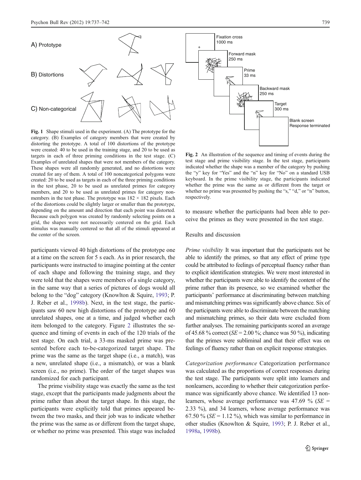<span id="page-3-0"></span>

Fig. 1 Shape stimuli used in the experiment. (A) The prototype for the category. (B) Examples of category members that were created by distorting the prototype. A total of 100 distortions of the prototype were created: 40 to be used in the training stage, and 20 to be used as targets in each of three priming conditions in the test stage. (C) Examples of unrelated shapes that were not members of the category. These shapes were all randomly generated, and no distortions were created for any of them. A total of 100 noncategorical polygons were created: 20 to be used as targets in each of the three priming conditions in the test phase, 20 to be used as unrelated primes for category members, and 20 to be used as unrelated primes for category nonmembers in the test phase. The prototype was  $182 \times 182$  pixels. Each of the distortions could be slightly larger or smaller than the prototype, depending on the amount and direction that each point was distorted. Because each polygon was created by randomly selecting points on a grid, the shapes were not necessarily centered on the grid. Each stimulus was manually centered so that all of the stimuli appeared at the center of the screen.

participants viewed 40 high distortions of the prototype one at a time on the screen for 5 s each. As in prior research, the participants were instructed to imagine pointing at the center of each shape and following the training stage, and they were told that the shapes were members of a single category, in the same way that a series of pictures of dogs would all belong to the "dog" category (Knowlton & Squire, [1993;](#page-6-0) P. J. Reber et al., [1998b\)](#page-6-0). Next, in the test stage, the participants saw 60 new high distortions of the prototype and 60 unrelated shapes, one at a time, and judged whether each item belonged to the category. Figure 2 illustrates the sequence and timing of events in each of the 120 trials of the test stage. On each trial, a 33-ms masked prime was presented before each to-be-categorized target shape. The prime was the same as the target shape (i.e., a match), was a new, unrelated shape (i.e., a mismatch), or was a blank screen (i.e., no prime). The order of the target shapes was randomized for each participant.

The prime visibility stage was exactly the same as the test stage, except that the participants made judgments about the prime rather than about the target shape. In this stage, the participants were explicitly told that primes appeared between the two masks, and their job was to indicate whether the prime was the same as or different from the target shape, or whether no prime was presented. This stage was included



Fig. 2 An illustration of the sequence and timing of events during the test stage and prime visibility stage. In the test stage, participants indicated whether the shape was a member of the category by pushing the "y" key for "Yes" and the "n" key for "No" on a standard USB keyboard. In the prime visibility stage, the participants indicated whether the prime was the same as or different from the target or whether no prime was presented by pushing the "s," "d," or "n" button, respectively.

to measure whether the participants had been able to perceive the primes as they were presented in the test stage.

#### Results and discussion

Prime visibility It was important that the participants not be able to identify the primes, so that any effect of prime type could be attributed to feelings of perceptual fluency rather than to explicit identification strategies. We were most interested in whether the participants were able to identify the content of the prime rather than its presence, so we examined whether the participants' performance at discriminating between matching and mismatching primes was significantly above chance. Six of the participants were able to discriminate between the matching and mismatching primes, so their data were excluded from further analyses. The remaining participants scored an average of 45.68 % correct ( $SE = 2.00$  %; chance was 50 %), indicating that the primes were subliminal and that their effect was on feelings of fluency rather than on explicit response strategies.

Categorization performance Categorization performance was calculated as the proportions of correct responses during the test stage. The participants were split into learners and nonlearners, according to whether their categorization performance was significantly above chance. We identified 13 nonlearners, whose average performance was 47.69 % ( $SE =$ 2.33 %), and 34 learners, whose average performance was 67.50 % ( $SE = 1.12$  %), which was similar to performance in other studies (Knowlton & Squire, [1993](#page-6-0); P. J. Reber et al., [1998a,](#page-6-0) [1998b\)](#page-6-0).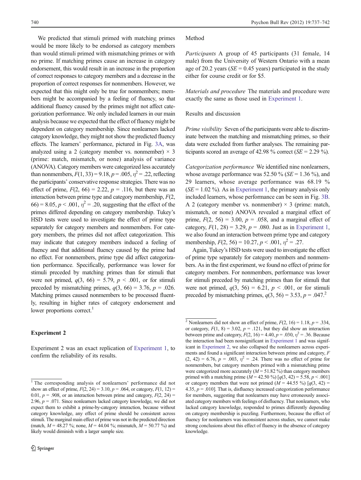<span id="page-4-0"></span>We predicted that stimuli primed with matching primes would be more likely to be endorsed as category members than would stimuli primed with mismatching primes or with no prime. If matching primes cause an increase in category endorsement, this would result in an increase in the proportion of correct responses to category members and a decrease in the proportion of correct responses for nonmembers. However, we expected that this might only be true for nonmembers; members might be accompanied by a feeling of fluency, so that additional fluency caused by the primes might not affect categorization performance. We only included learners in our main analysis because we expected that the effect of fluency might be dependent on category membership. Since nonlearners lacked category knowledge, they might not show the predicted fluency effects. The learners' performance, pictured in Fig. [3A,](#page-5-0) was analyzed using a 2 (category member vs. nonmember)  $\times$  3 (prime: match, mismatch, or none) analysis of variance (ANOVA). Category members were categorized less accurately than nonmembers,  $F(1, 33) = 9.18$ ,  $p = .005$ ,  $\eta^2 = .22$ , reflecting the participants' conservative response strategies. There was no effect of prime,  $F(2, 66) = 2.22$ ,  $p = .116$ , but there was an interaction between prime type and category membership,  $F(2)$ , 66) = 8.05,  $p < .001$ ,  $\eta^2 = .20$ , suggesting that the effect of the primes differed depending on category membership. Tukey's HSD tests were used to investigate the effect of prime type separately for category members and nonmembers. For category members, the primes did not affect categorization. This may indicate that category members induced a feeling of fluency and that additional fluency caused by the prime had no effect. For nonmembers, prime type did affect categorization performance. Specifically, performance was lower for stimuli preceded by matching primes than for stimuli that were not primed,  $q(3, 66) = 5.79$ ,  $p < .001$ , or for stimuli preceded by mismatching primes,  $q(3, 66) = 3.76$ ,  $p = .026$ . Matching primes caused nonmembers to be processed fluently, resulting in higher rates of category endorsement and lower proportions correct.<sup>1</sup>

#### Experiment 2

Experiment 2 was an exact replication of [Experiment 1,](#page-2-0) to confirm the reliability of its results.

#### Method

Participants A group of 45 participants (31 female, 14 male) from the University of Western Ontario with a mean age of 20.2 years ( $SE = 0.45$  years) participated in the study either for course credit or for \$5.

Materials and procedure The materials and procedure were exactly the same as those used in [Experiment 1.](#page-2-0)

#### Results and discussion

Prime visibility Seven of the participants were able to discriminate between the matching and mismatching primes, so their data were excluded from further analyses. The remaining participants scored an average of 42.98 % correct ( $SE = 2.29$  %).

Categorization performance We identified nine nonlearners, whose average performance was 52.50 % ( $SE = 1.36$  %), and 29 learners, whose average performance was 68.19 %  $(SE = 1.02 \%)$ . As in [Experiment 1,](#page-2-0) the primary analysis only included learners, whose performance can be seen in Fig. [3B.](#page-5-0) A 2 (category member vs. nonmember)  $\times$  3 (prime: match, mismatch, or none) ANOVA revealed a marginal effect of prime,  $F(2, 56) = 3.00$ ,  $p = .058$ , and a marginal effect of category,  $F(1, 28) = 3.29$ ,  $p = .080$ . Just as in [Experiment 1,](#page-2-0) we also found an interaction between prime type and category membership,  $F(2, 56) = 10.27, p < .001, \eta^2 = .27.$ 

Again, Tukey's HSD tests were used to investigate the effect of prime type separately for category members and nonmembers. As in the first experiment, we found no effect of prime for category members. For nonmembers, performance was lower for stimuli preceded by matching primes than for stimuli that were not primed,  $q(3, 56) = 6.21$ ,  $p < .001$ , or for stimuli preceded by mismatching primes,  $q(3, 56) = 3.53$ ,  $p = .047$ .<sup>2</sup>

<sup>1</sup> The corresponding analysis of nonlearners' performance did not show an effect of prime,  $F(2, 24) = 3.10$ ,  $p = .064$ , or category,  $F(1, 12) =$ 0.01,  $p = 0.908$ , or an interaction between prime and category,  $F(2, 24) =$ 2.96,  $p = .071$ . Since nonlearners lacked category knowledge, we did not expect them to exhibit a prime-by-category interaction, because without category knowledge, any effect of prime should be consistent across stimuli. The marginal main effect of prime was not in the predicted direction (match,  $M = 48.27$  %; none,  $M = 44.04$  %; mismatch,  $M = 50.77$  %) and likely would diminish with a larger sample size.

<sup>&</sup>lt;sup>2</sup> Nonlearners did not show an effect of prime,  $F(2, 16) = 1.18$ ,  $p = .334$ , or category,  $F(1, 8) = 3.02$ ,  $p = .121$ , but they did show an interaction between prime and category,  $F(2, 16) = 4.40$ ,  $p = .030$ ,  $\eta^2 = .36$ . Because the interaction had been nonsignificant in [Experiment 1](#page-2-0) and was significant in Experiment 2, we also collapsed the nonlearners across experiments and found a significant interaction between prime and category, F  $(2, 42) = 6.76$ ,  $p = .003$ ,  $\eta^2 = .24$ . There was no effect of prime for nonmembers, but category members primed with a mismatching prime were categorized more accurately  $(M = 51.82 \%)$  than category members primed with a matching prime ( $M = 42.50 \%$ ) [ $q(3, 42) = 5.58, p < .001$ ] or category members that were not primed ( $M = 44.55 \%$ ) [ $q(3, 42) =$ 4.35,  $p = .010$ ]. That is, disfluency increased categorization performance for members, suggesting that nonlearners may have erroneously associated category members with feelings of disfluency. That nonlearners, who lacked category knowledge, responded to primes differently depending on category membership is puzzling. Furthermore, because the effect of fluency for nonlearners was inconsistent across studies, we cannot make strong conclusions about this effect of fluency in the absence of category knowledge.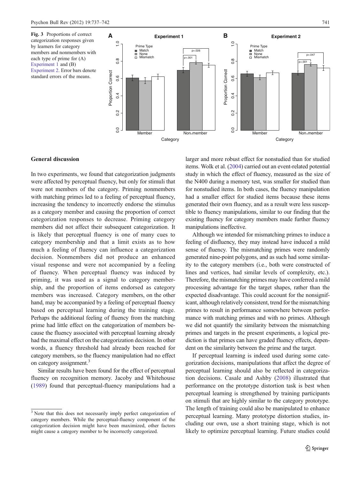<span id="page-5-0"></span>Fig. 3 Proportions of correct categorization responses given by learners for category members and nonmembers with each type of prime for (A) [Experiment 1](#page-2-0) and (B) [Experiment 2](#page-4-0). Error bars denote standard errors of the means.



#### General discussion

In two experiments, we found that categorization judgments were affected by perceptual fluency, but only for stimuli that were not members of the category. Priming nonmembers with matching primes led to a feeling of perceptual fluency, increasing the tendency to incorrectly endorse the stimulus as a category member and causing the proportion of correct categorization responses to decrease. Priming category members did not affect their subsequent categorization. It is likely that perceptual fluency is one of many cues to category membership and that a limit exists as to how much a feeling of fluency can influence a categorization decision. Nonmembers did not produce an enhanced visual response and were not accompanied by a feeling of fluency. When perceptual fluency was induced by priming, it was used as a signal to category membership, and the proportion of items endorsed as category members was increased. Category members, on the other hand, may be accompanied by a feeling of perceptual fluency based on perceptual learning during the training stage. Perhaps the additional feeling of fluency from the matching prime had little effect on the categorization of members because the fluency associated with perceptual learning already had the maximal effect on the categorization decision. In other words, a fluency threshold had already been reached for category members, so the fluency manipulation had no effect on category assignment.<sup>3</sup>

Similar results have been found for the effect of perceptual fluency on recognition memory. Jacoby and Whitehouse [\(1989](#page-6-0)) found that perceptual-fluency manipulations had a

larger and more robust effect for nonstudied than for studied items. Wolk et al. [\(2004](#page-6-0)) carried out an event-related potential study in which the effect of fluency, measured as the size of the N400 during a memory test, was smaller for studied than for nonstudied items. In both cases, the fluency manipulation had a smaller effect for studied items because these items generated their own fluency, and as a result were less susceptible to fluency manipulations, similar to our finding that the existing fluency for category members made further fluency manipulations ineffective.

Although we intended for mismatching primes to induce a feeling of disfluency, they may instead have induced a mild sense of fluency. The mismatching primes were randomly generated nine-point polygons, and as such had some similarity to the category members (i.e., both were constructed of lines and vertices, had similar levels of complexity, etc.). Therefore, the mismatching primes may have conferred a mild processing advantage for the target shapes, rather than the expected disadvantage. This could account for the nonsignificant, although relatively consistent, trend for the mismatching primes to result in performance somewhere between performance with matching primes and with no primes. Although we did not quantify the similarity between the mismatching primes and targets in the present experiments, a logical prediction is that primes can have graded fluency effects, dependent on the similarity between the prime and the target.

If perceptual learning is indeed used during some categorization decisions, manipulations that affect the degree of perceptual learning should also be reflected in categorization decisions. Casale and Ashby [\(2008](#page-6-0)) illustrated that performance on the prototype distortion task is best when perceptual learning is strengthened by training participants on stimuli that are highly similar to the category prototype. The length of training could also be manipulated to enhance perceptual learning. Many prototype distortion studies, including our own, use a short training stage, which is not likely to optimize perceptual learning. Future studies could

<sup>&</sup>lt;sup>3</sup> Note that this does not necessarily imply perfect categorization of category members. While the perceptual-fluency component of the categorization decision might have been maximized, other factors might cause a category member to be incorrectly categorized.